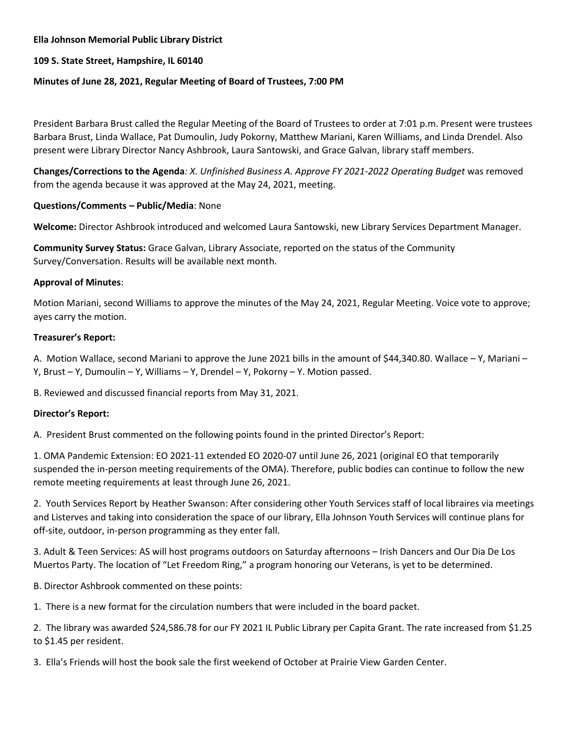### **Ella Johnson Memorial Public Library District**

## **109 S. State Street, Hampshire, IL 60140**

### **Minutes of June 28, 2021, Regular Meeting of Board of Trustees, 7:00 PM**

President Barbara Brust called the Regular Meeting of the Board of Trustees to order at 7:01 p.m. Present were trustees Barbara Brust, Linda Wallace, Pat Dumoulin, Judy Pokorny, Matthew Mariani, Karen Williams, and Linda Drendel. Also present were Library Director Nancy Ashbrook, Laura Santowski, and Grace Galvan, library staff members.

**Changes/Corrections to the Agenda***: X. Unfinished Business A. Approve FY 2021-2022 Operating Budget* was removed from the agenda because it was approved at the May 24, 2021, meeting.

#### **Questions/Comments – Public/Media**: None

**Welcome:** Director Ashbrook introduced and welcomed Laura Santowski, new Library Services Department Manager.

**Community Survey Status:** Grace Galvan, Library Associate, reported on the status of the Community Survey/Conversation. Results will be available next month.

#### **Approval of Minutes**:

Motion Mariani, second Williams to approve the minutes of the May 24, 2021, Regular Meeting. Voice vote to approve; ayes carry the motion.

#### **Treasurer's Report:**

A. Motion Wallace, second Mariani to approve the June 2021 bills in the amount of \$44,340.80. Wallace – Y, Mariani – Y, Brust – Y, Dumoulin – Y, Williams – Y, Drendel – Y, Pokorny – Y. Motion passed.

B. Reviewed and discussed financial reports from May 31, 2021.

# **Director's Report:**

A. President Brust commented on the following points found in the printed Director's Report:

1. OMA Pandemic Extension: EO 2021-11 extended EO 2020-07 until June 26, 2021 (original EO that temporarily suspended the in-person meeting requirements of the OMA). Therefore, public bodies can continue to follow the new remote meeting requirements at least through June 26, 2021.

2. Youth Services Report by Heather Swanson: After considering other Youth Services staff of local libraires via meetings and Listerves and taking into consideration the space of our library, Ella Johnson Youth Services will continue plans for off-site, outdoor, in-person programming as they enter fall.

3. Adult & Teen Services: AS will host programs outdoors on Saturday afternoons – Irish Dancers and Our Dia De Los Muertos Party. The location of "Let Freedom Ring," a program honoring our Veterans, is yet to be determined.

B. Director Ashbrook commented on these points:

1. There is a new format for the circulation numbers that were included in the board packet.

2. The library was awarded \$24,586.78 for our FY 2021 IL Public Library per Capita Grant. The rate increased from \$1.25 to \$1.45 per resident.

3. Ella's Friends will host the book sale the first weekend of October at Prairie View Garden Center.